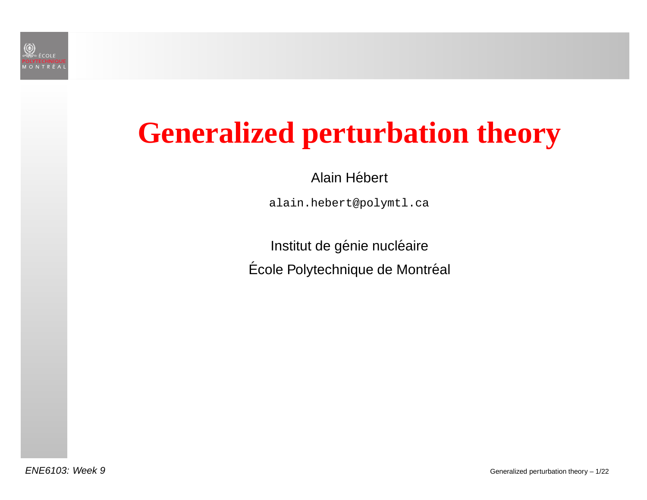

## **Generalized perturbation theory**

Alain Hébert

alain.hebert@polymtl.ca

Institut de génie nucléaire Ecole Polytechnique de Montr´Ecole Polytechnique de Montréal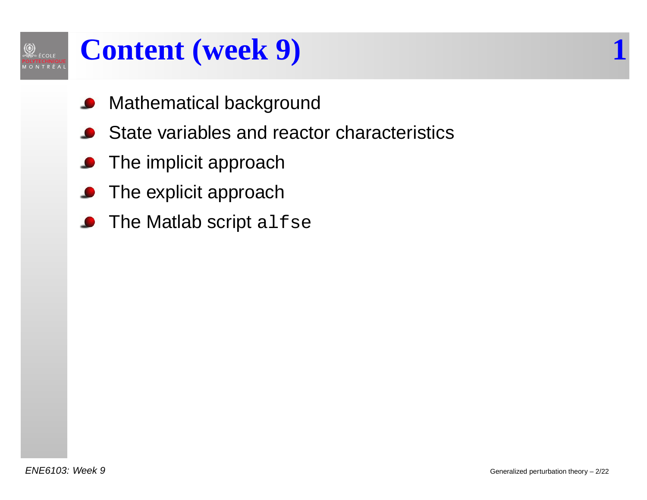### **Content (week 9) 1**

- Mathematical background
- State variables and reactor characteristics $\bullet$
- **•** The implicit approach
- The explicit approach
- The Matlab script alfse  $\bullet$

 $\circled{2}$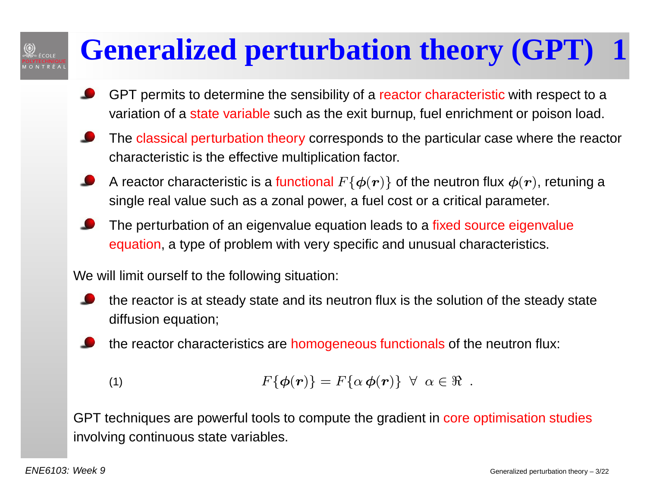# **Generalized perturbation theory (GPT) 1**

- GPT permits to determine the sensibility of a reactor characteristic with respect to a variation of a state variable such as the exit burnup, fuel enrichment or poison load.
- The <mark>classical perturbation theory</mark> corresponds to the particular case where the reactor characteristic is the effective multiplication factor.
- A reactor characteristic is a functional  $F\{\boldsymbol{\phi}(\boldsymbol{r})\}$  of the neutron flux  $\boldsymbol{\phi}(\boldsymbol{r})$ , retuning a single real value such as <sup>a</sup> zonal power, <sup>a</sup> fuel cost or <sup>a</sup> critical parameter.
- The perturbation of an eigenvalue equation leads to a <mark>fixed source eigenvalue</mark> equation, <sup>a</sup> type of problem with very specific and unusual characteristics.

We will limit ourself to the following situation:

- the reactor is at steady state and its neutron flux is the solution of the steady statediffusion equation;
	- the reactor characteristics are <mark>homogeneous functionals</mark> of the neutron flux:

(1) 
$$
F\{\boldsymbol{\phi}(\boldsymbol{r})\} = F\{\alpha \boldsymbol{\phi}(\boldsymbol{r})\} \ \forall \ \alpha \in \Re \ .
$$

GPT techniques are powerful tools to compute the gradient in <mark>core optimisation studies</mark> involving continuous state variables.

 $\textcircled{2}$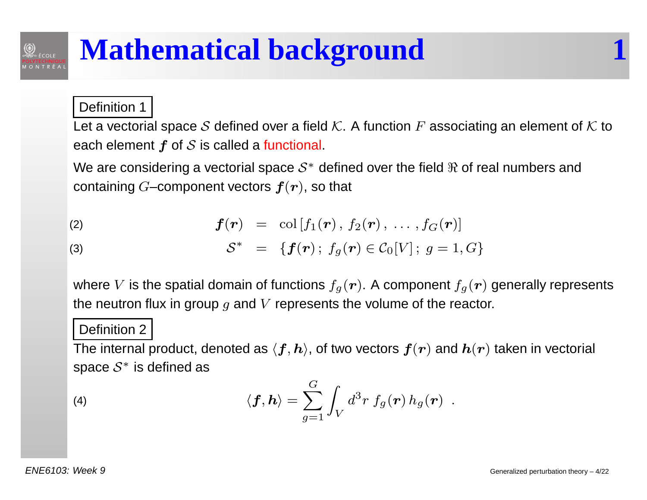#### Definition <sup>1</sup>

 $\bigotimes_{\infty}$  école

Let a vectorial space S defined over a field K. A function  $F$  associating an element of K to each element  $\boldsymbol{f}$  of  $\boldsymbol{\mathcal{S}}$  is called a <mark>functional</mark>.

We are considering a vectorial space  $\mathcal{S}^{*}$  defined over the field  $\Re$  of real numbers and containing  $G\!\!-\!\!$ component vectors  $\bm{f}(\bm{r})$ , so that

(2) 
$$
f(r) = \text{col}[f_1(r), f_2(r), \ldots, f_G(r)]
$$

(3) 
$$
S^* = \{f(\bm{r});\ f_g(\bm{r}) \in C_0[V];\ g = 1,G\}
$$

where  $V$  is the spatial domain of functions  $f_g(\boldsymbol{r})$ . A component  $f_g(\boldsymbol{r})$  generally represents the neutron flux in group  $g$  and  $V$  represents the volume of the reactor.

#### Definition <sup>2</sup>

The internal product, denoted as  $\langle \bm{f}, \bm{h} \rangle$ , of two vectors  $\bm{f}(\bm{r})$  and  $\bm{h}(\bm{r})$  taken in vectorial space  $\mathcal{S}^*$  is defined as

(4) 
$$
\langle \mathbf{f}, \mathbf{h} \rangle = \sum_{g=1}^{G} \int_{V} d^{3}r \, f_{g}(\mathbf{r}) \, h_{g}(\mathbf{r}) \, .
$$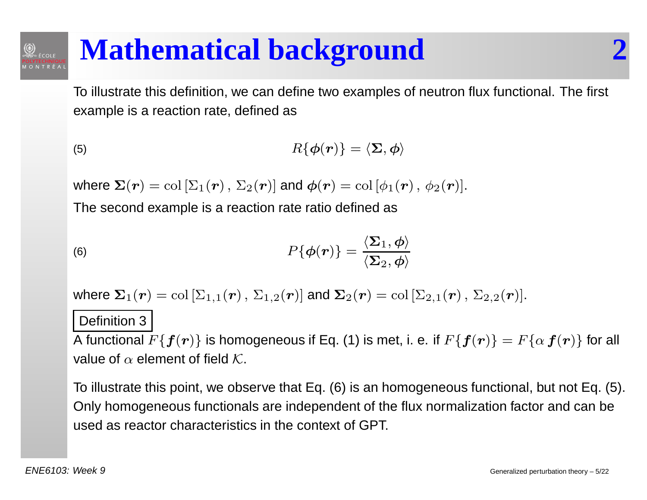To illustrate this definition, we can define two examples of neutron flux functional. The first example is <sup>a</sup> reaction rate, defined as

(5) 
$$
R\{\boldsymbol{\phi}(\boldsymbol{r})\} = \langle \boldsymbol{\Sigma}, \boldsymbol{\phi} \rangle
$$

where  $\bm{\Sigma}(\bm{r})=\text{col}\left[\Sigma_1(\bm{r})\,,\,\Sigma_2(\bm{r})\right]$  and  $\bm{\phi}(\bm{r})=\text{col}\left[\phi_1(\bm{r})\,,\,\phi_2(\bm{r})\right]$ .

The second example is <sup>a</sup> reaction rate ratio defined as

(6) 
$$
P\{\boldsymbol{\phi}(\boldsymbol{r})\} = \frac{\langle \boldsymbol{\Sigma}_1, \boldsymbol{\phi} \rangle}{\langle \boldsymbol{\Sigma}_2, \boldsymbol{\phi} \rangle}
$$

where  $\bm{\Sigma}_1(\bm{r})=\mathrm{col}\left[\Sigma_{1,1}(\bm{r})\,,\,\Sigma_{1,2}(\bm{r})\right]$  and  $\bm{\Sigma}_2(\bm{r})=\mathrm{col}\left[\Sigma_{2,1}(\bm{r})\,,\,\Sigma_{2,2}(\bm{r})\right]$ .

#### Definition 3

A functional  $F\{\bm{f}(\bm{r})\}$  is homogeneous if Eq. (1) is met, i. e. if  $F\{\bm{f}(\bm{r})\}=F\{\alpha\,\bm{f}(\bm{r})\}$  for all value of  $\alpha$  element of field  ${\cal K}.$ 

To illustrate this point, we observe that Eq. (6) is an homogeneous functional, but not Eq. (5). Only homogeneous functionals are independent of the flux normalization factor and can beused as reactor characteristics in the context of GPT.

 $\textcircled{2}$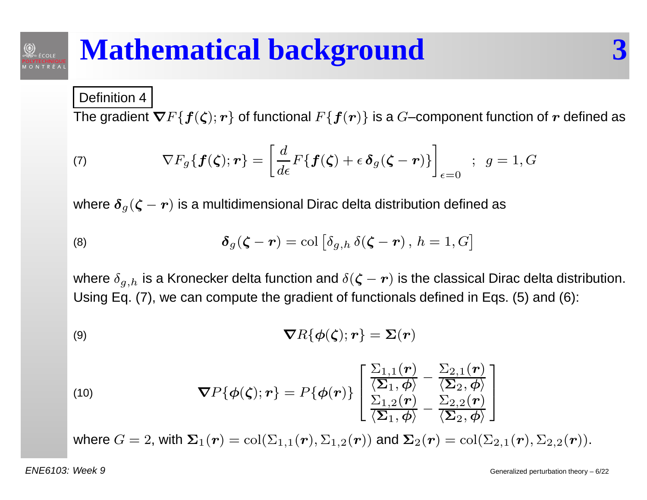### Definition <sup>4</sup>

 $\textcircled{2}$ 

The gradient  $\bm{\nabla} F\{\bm{f}(\bm{\zeta});\bm{r}\}$  of functional  $F\{\bm{f}(\bm{r})\}$  is a  $G\text{--component}$  function of  $\bm{r}$  defined as

(7) 
$$
\nabla F_g \{ \boldsymbol{f}(\boldsymbol{\zeta}); \boldsymbol{r} \} = \left[ \frac{d}{d\epsilon} F \{ \boldsymbol{f}(\boldsymbol{\zeta}) + \epsilon \, \boldsymbol{\delta}_g(\boldsymbol{\zeta} - \boldsymbol{r}) \} \right]_{\epsilon=0} ; \, g = 1, G
$$

where  $\boldsymbol{\delta}_g(\boldsymbol{\zeta}-\boldsymbol{r})$  is a multidimensional Dirac delta distribution defined as

(8) 
$$
\boldsymbol{\delta}_g(\boldsymbol{\zeta}-\boldsymbol{r})=\text{col}\left[\delta_{g,h}\,\delta(\boldsymbol{\zeta}-\boldsymbol{r}),\,h=1,G\right]
$$

where  $\delta_{g,h}$  is a Kronecker delta function and  $\delta(\boldsymbol{\zeta}-\boldsymbol{r})$  is the classical Dirac delta distribution. Using Eq. (7), we can compute the gradient of functionals defined in Eqs. (5) and (6):

(9) 
$$
\boldsymbol{\nabla}R\{\boldsymbol{\phi}(\boldsymbol{\zeta});\boldsymbol{r}\}=\boldsymbol{\Sigma}(\boldsymbol{r})
$$

(10) 
$$
\nabla P\{\boldsymbol{\phi}(\boldsymbol{\zeta});\boldsymbol{r}\}=P\{\boldsymbol{\phi}(\boldsymbol{r})\}\begin{bmatrix}\frac{\Sigma_{1,1}(\boldsymbol{r})}{\langle \boldsymbol{\Sigma}_1,\boldsymbol{\phi}\rangle}-\frac{\Sigma_{2,1}(\boldsymbol{r})}{\langle \boldsymbol{\Sigma}_2,\boldsymbol{\phi}\rangle}\\ \frac{\Sigma_{1,2}(\boldsymbol{r})}{\langle \boldsymbol{\Sigma}_1,\boldsymbol{\phi}\rangle}-\frac{\Sigma_{2,2}(\boldsymbol{r})}{\langle \boldsymbol{\Sigma}_2,\boldsymbol{\phi}\rangle}\end{bmatrix}
$$

where  $G=2$ , with  $\bm{\Sigma}_{1}(\bm{r})=\mathrm{col}(\Sigma_{1,1}(\bm{r}),\Sigma_{1,2}(\bm{r}))$  and  $\bm{\Sigma}_{2}(\bm{r})=\mathrm{col}(\Sigma_{2,1}(\bm{r}),\Sigma_{2,2}(\bm{r})).$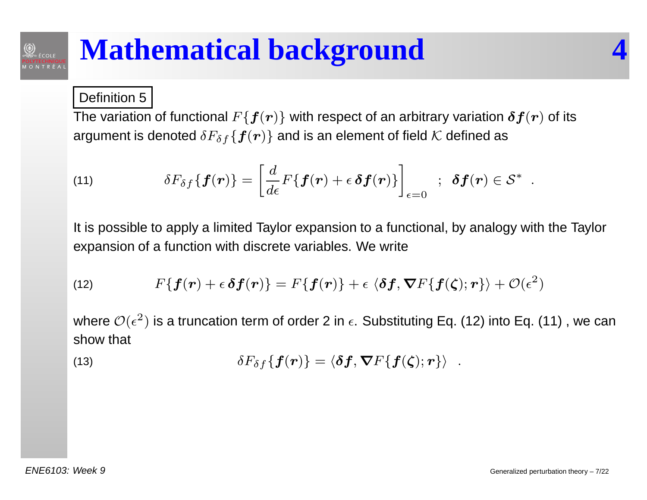### Definition 5

 $\textcircled{2}$ 

The variation of functional  $F\{\boldsymbol{f}(\boldsymbol{r})\}$  with respect of an arbitrary variation  $\boldsymbol{\delta} \boldsymbol{f}(\boldsymbol{r})$  of its argument is denoted  $\delta F_{\delta f}\{\boldsymbol{f}(\boldsymbol{r})\}$  and is an element of field  $\mathcal K$  defined as

(11) 
$$
\delta F_{\delta f}\{\boldsymbol{f}(\boldsymbol{r})\} = \left[\frac{d}{d\epsilon}F\{\boldsymbol{f}(\boldsymbol{r})+\epsilon\,\boldsymbol{\delta}\boldsymbol{f}(\boldsymbol{r})\}\right]_{\epsilon=0} ; \; \boldsymbol{\delta f}(\boldsymbol{r})\in\mathcal{S}^*.
$$

It is possible to apply <sup>a</sup> limited Taylor expansion to <sup>a</sup> functional, by analogy with the Taylorexpansion of <sup>a</sup> function with discrete variables. We write

(12) 
$$
F\{f(\mathbf{r})+\epsilon \,\boldsymbol{\delta} f(\mathbf{r})\}=F\{f(\mathbf{r})\}+\epsilon \,\langle \boldsymbol{\delta} f,\boldsymbol{\nabla} F\{f(\boldsymbol{\zeta});\mathbf{r}\}\rangle+\mathcal{O}(\epsilon^2)
$$

where  $\mathcal{O}(\epsilon^2)$  show that  $^{2})$  is a truncation term of order 2 in  $\epsilon.$  Substituting Eq. (12) into Eq. (11) , we can

(13) 
$$
\delta F_{\delta f}\{\boldsymbol{f}(\boldsymbol{r})\}=\langle\boldsymbol{\delta f},\boldsymbol{\nabla}F\{\boldsymbol{f}(\boldsymbol{\zeta});\boldsymbol{r}\}\rangle.
$$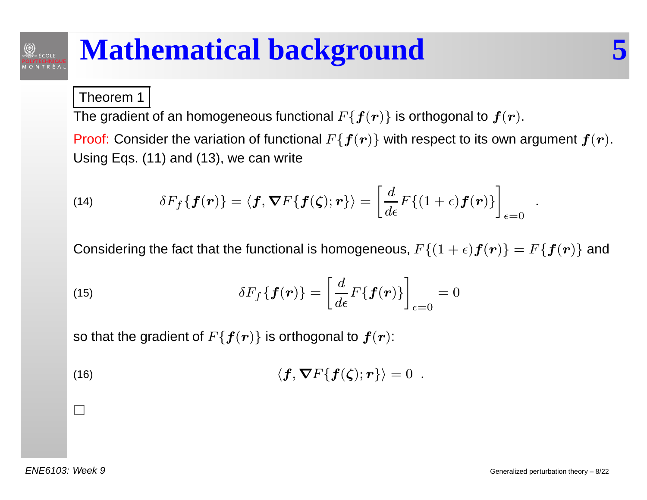#### Theorem 1

 $\textcircled{2}$ 

The gradient of an homogeneous functional  $F\{\boldsymbol{f}(\boldsymbol{r})\}$  is orthogonal to  $\boldsymbol{f}(\boldsymbol{r}).$ 

Proof: Consider the variation of functional  $F\{\boldsymbol{f}(\boldsymbol{r})\}$  with respect to its own argument  $\boldsymbol{f}(\boldsymbol{r})$ . Using Eqs. (11) and (13), we can write

(14) 
$$
\delta F_f\{\mathbf{f}(\mathbf{r})\} = \langle \mathbf{f}, \mathbf{\nabla} F\{\mathbf{f}(\boldsymbol{\zeta}); \mathbf{r}\}\rangle = \left[\frac{d}{d\epsilon}F\{(1+\epsilon)\mathbf{f}(\mathbf{r})\}\right]_{\epsilon=0}.
$$

Considering the fact that the functional is homogeneous,  $F\{(1+\epsilon)\bm{f}(\bm{r})\}=F\{\bm{f}(\bm{r})\}$  and

(15) 
$$
\delta F_f \{f(\boldsymbol{r})\} = \left[\frac{d}{d\epsilon} F\{f(\boldsymbol{r})\}\right]_{\epsilon=0} = 0
$$

so that the gradient of  $F\{\boldsymbol{f}(\boldsymbol{r})\}$  is orthogonal to  $\boldsymbol{f}(\boldsymbol{r})$ :

(16) 
$$
\langle \mathbf{f}, \mathbf{\nabla} F\{\mathbf{f}(\boldsymbol{\zeta}); \mathbf{r}\}\rangle = 0.
$$

 $\Box$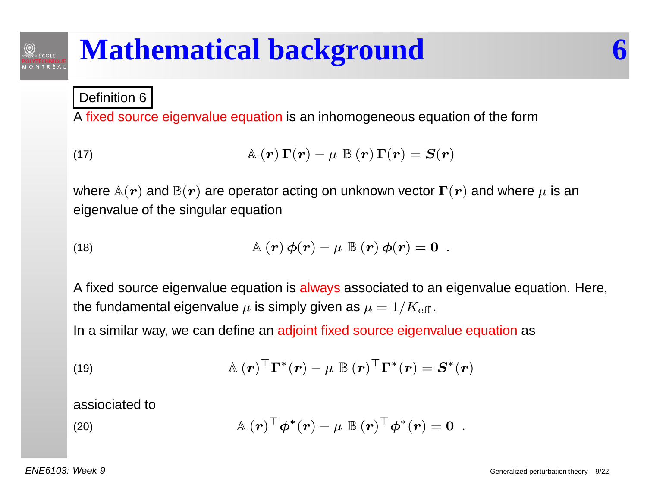Definition 6

 $\textcircled{2}$ 

A fixed source eigenvalue equation is an inhomogeneous equation of the form

(17) 
$$
\mathbb{A}(\boldsymbol{r})\,\Gamma(\boldsymbol{r})-\mu\,\mathbb{B}(\boldsymbol{r})\,\Gamma(\boldsymbol{r})=\boldsymbol{S}(\boldsymbol{r})
$$

where  $\mathbb{A}(\bm{r})$  and  $\mathbb{B}(\bm{r})$  are operator acting on unknown vector  $\bm{\Gamma}(\bm{r})$  and where  $\mu$  is an eigenvalue of the singular equation

(18) 
$$
\mathbb{A}(\boldsymbol{r})\boldsymbol{\phi}(\boldsymbol{r})-\mu \mathbb{B}(\boldsymbol{r})\boldsymbol{\phi}(\boldsymbol{r})=\boldsymbol{0}.
$$

A fixed source eigenvalue equation is <mark>always</mark> associated to an eigenvalue equation. Here, the fundamental eigenvalue  $\mu$  is simply given as  $\mu = 1/K_{\text{eff}}$  .

In <sup>a</sup> similar way, we can define an adjoint fixed source eigenvalue equation as

(19) 
$$
\mathbb{A}(\boldsymbol{r})^{\top} \boldsymbol{\Gamma}^*(\boldsymbol{r}) - \mu \mathbb{B}(\boldsymbol{r})^{\top} \boldsymbol{\Gamma}^*(\boldsymbol{r}) = \boldsymbol{S}^*(\boldsymbol{r})
$$

assiociated to

(20) 
$$
\mathbb{A}(\boldsymbol{r})^{\top}\boldsymbol{\phi}^{*}(\boldsymbol{r}) - \mu \mathbb{B}(\boldsymbol{r})^{\top}\boldsymbol{\phi}^{*}(\boldsymbol{r}) = \mathbf{0}.
$$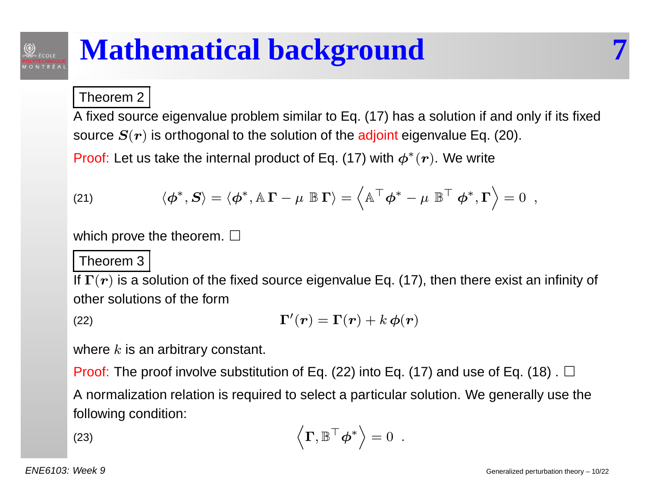#### Theorem 2

 $\bigotimes$   $\mathcal{E}$   $\mathcal{E}$   $\mathcal{E}$   $\mathcal{E}$   $\mathcal{E}$   $\mathcal{E}$   $\mathcal{E}$   $\mathcal{E}$   $\mathcal{E}$   $\mathcal{E}$   $\mathcal{E}$   $\mathcal{E}$   $\mathcal{E}$   $\mathcal{E}$   $\mathcal{E}$   $\mathcal{E}$   $\mathcal{E}$   $\mathcal{E}$   $\mathcal{E}$   $\mathcal{E}$   $\mathcal{E}$   $\mathcal{E}$   $\mathcal{E}$   $\mathcal{E}$ 

A fixed source eigenvalue problem similar to Eq. (17) has <sup>a</sup> solution if and only if its fixedsource  $\bm{S}(\bm{r})$  is orthogonal to the solution of the adjoint eigenvalue Eq. (20).

Proof: Let us take the internal product of Eq. (17) with  $\boldsymbol{\phi}^*$  $^{\ast}(\boldsymbol{r})$ . We write

(21) 
$$
\langle \boldsymbol{\phi}^*, \boldsymbol{S} \rangle = \langle \boldsymbol{\phi}^*, \mathbb{A} \boldsymbol{\Gamma} - \boldsymbol{\mu} \ \mathbb{B} \boldsymbol{\Gamma} \rangle = \left\langle \mathbb{A}^\top \boldsymbol{\phi}^* - \boldsymbol{\mu} \ \mathbb{B}^\top \ \boldsymbol{\phi}^*, \boldsymbol{\Gamma} \right\rangle = 0 \ ,
$$

which prove the theorem.  $\Box$ 

#### Theorem 3

If  $\boldsymbol{\Gamma}(\boldsymbol{r})$  is a solution of the fixed source eigenvalue Eq. (17), then there exist an infinity of other solutions of the form

$$
\Gamma'(\boldsymbol{r}) = \Gamma(\boldsymbol{r}) + k \, \boldsymbol{\phi}(\boldsymbol{r})
$$

where  $k$  is an arbitrary constant.

Proof: The proof involve substitution of Eq. (22) into Eq. (17) and use of Eq. (18) .  $\Box$  A normalization relation is required to select <sup>a</sup> particular solution. We generally use thefollowing condition:

(23) 
$$
\left\langle \Gamma, \mathbb{B}^\top \boldsymbol{\phi}^* \right\rangle = 0.
$$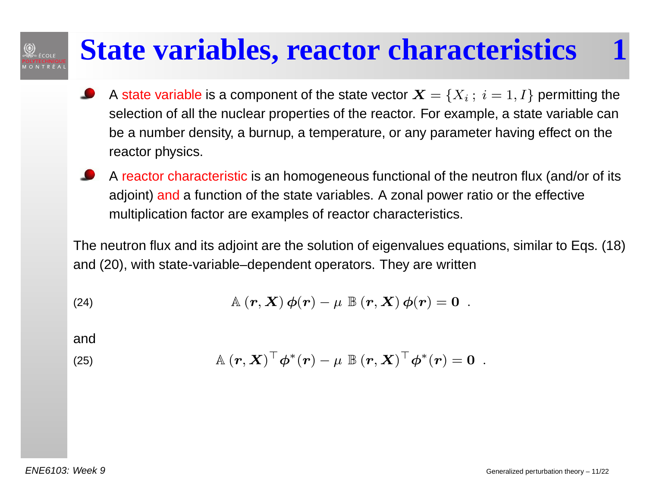### **State variables, reactor characteristics 1**

- A state variable is a component of the state vector  $\boldsymbol{X} = \{X_i\, ; \; i = 1, I\}$  permitting the selection of all the nuclear properties of the reactor. For example, <sup>a</sup> state variable canbe <sup>a</sup> number density, <sup>a</sup> burnup, <sup>a</sup> temperature, or any parameter having effect on thereactor physics.
- A <mark>reactor characteristic</mark> is an homogeneous functional of the neutron flux (and/or of its adjoint) <mark>and</mark> a function of the state variables. A zonal power ratio or the effective multiplication factor are examples of reactor characteristics.

The neutron flux and its adjoint are the solution of eigenvalues equations, similar to Eqs. (18)and (20), with state-variable–dependent operators. They are written

(24) 
$$
\mathbb{A}(\mathbf{r}, \mathbf{X}) \phi(\mathbf{r}) - \mu \mathbb{B}(\mathbf{r}, \mathbf{X}) \phi(\mathbf{r}) = \mathbf{0}.
$$

and

 $\bigotimes$   $\epsilon$  cole

(25) 
$$
\mathbb{A}(\boldsymbol{r},\boldsymbol{X})^{\top}\boldsymbol{\phi}^{*}(\boldsymbol{r})-\mu \mathbb{B}(\boldsymbol{r},\boldsymbol{X})^{\top}\boldsymbol{\phi}^{*}(\boldsymbol{r})=\boldsymbol{0}.
$$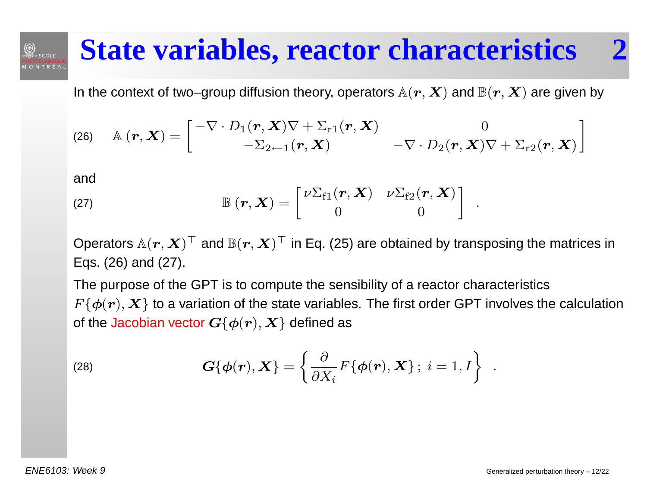### **State variables, reactor characteristics 2**

In the context of two–group diffusion theory, operators  $\mathbb{A}(\bm{r},\bm{X})$  and  $\mathbb{B}(\bm{r},\bm{X})$  are given by

(26) 
$$
\mathbb{A}(\boldsymbol{r},\boldsymbol{X})=\begin{bmatrix}-\nabla\cdot D_1(\boldsymbol{r},\boldsymbol{X})\nabla+\Sigma_{r1}(\boldsymbol{r},\boldsymbol{X}) & 0\\-\Sigma_{2\leftarrow 1}(\boldsymbol{r},\boldsymbol{X}) & -\nabla\cdot D_2(\boldsymbol{r},\boldsymbol{X})\nabla+\Sigma_{r2}(\boldsymbol{r},\boldsymbol{X})\end{bmatrix}
$$

and

 $\textcircled{2}$ 

(27) 
$$
\mathbb{B}(\boldsymbol{r},\boldsymbol{X})=\begin{bmatrix} \nu\Sigma_{f1}(\boldsymbol{r},\boldsymbol{X}) & \nu\Sigma_{f2}(\boldsymbol{r},\boldsymbol{X})\\ 0 & 0 \end{bmatrix}.
$$

Operators  $\mathbb{A}(\bm{r},\bm{X})^{\top}$  and  $\mathbb{B}(\bm{r},\bm{X})^{\top}$  in Eq. (25) are obtained by transposing the matrices in Eqs. (26) and (27).

The purpose of the GPT is to compute the sensibility of <sup>a</sup> reactor characteristics $F\{\boldsymbol{\phi}(\boldsymbol{r}),\boldsymbol{X}\}$  to a variation of the state variables. The first order GPT involves the calculation of the Jacobian vector  $\boldsymbol{G}\{\boldsymbol{\phi}(\boldsymbol{r}),\boldsymbol{X}\}$  defined as

(28) 
$$
\mathbf{G}\{\boldsymbol{\phi}(\mathbf{r}), \mathbf{X}\} = \left\{\frac{\partial}{\partial X_i} F\{\boldsymbol{\phi}(\mathbf{r}), \mathbf{X}\}; i = 1, I\right\}.
$$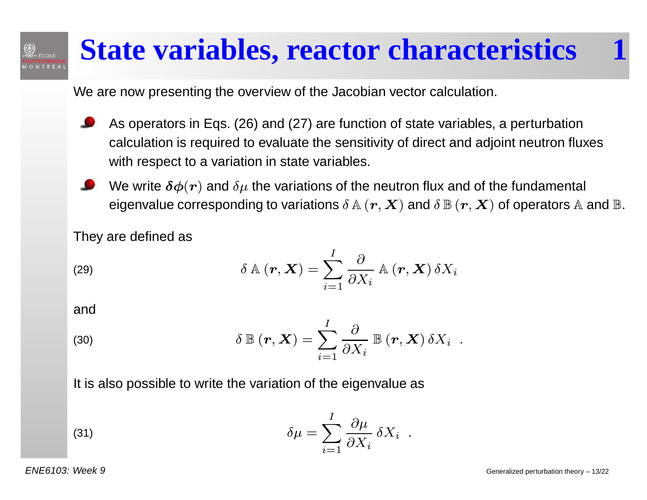#### **State variables, reactor characteristics 1** $\textcircled{2}$

We are now presenting the overview of the Jacobian vector calculation.

- As operators in Eqs. (26) and (27) are function of state variables, <sup>a</sup> perturbation calculation is required to evaluate the sensitivity of direct and adjoint neutron fluxeswith respect to a variation in state variables.
- We write  $\boldsymbol{\delta}\boldsymbol{\phi}(\boldsymbol{r})$  and  $\delta\mu$  the variations of the neutron flux and of the fundamental eigenvalue corresponding to variations  $\delta$   $\mathbb{A}$   $(\bm{r},\bm{X})$  and  $\delta$   $\mathbb{B}$   $(\bm{r},\bm{X})$  of operators  $\mathbb{A}$  and  $\mathbb{B}.$

They are defined as

(29) 
$$
\delta \mathbb{A} (\mathbf{r}, \mathbf{X}) = \sum_{i=1}^{I} \frac{\partial}{\partial X_i} \mathbb{A} (\mathbf{r}, \mathbf{X}) \, \delta X_i
$$

and

(30) 
$$
\delta \mathbb{B} (\mathbf{r}, \mathbf{X}) = \sum_{i=1}^{I} \frac{\partial}{\partial X_i} \mathbb{B} (\mathbf{r}, \mathbf{X}) \, \delta X_i .
$$

It is also possible to write the variation of the eigenvalue <sup>a</sup>s

(31) 
$$
\delta \mu = \sum_{i=1}^{I} \frac{\partial \mu}{\partial X_i} \, \delta X_i \, .
$$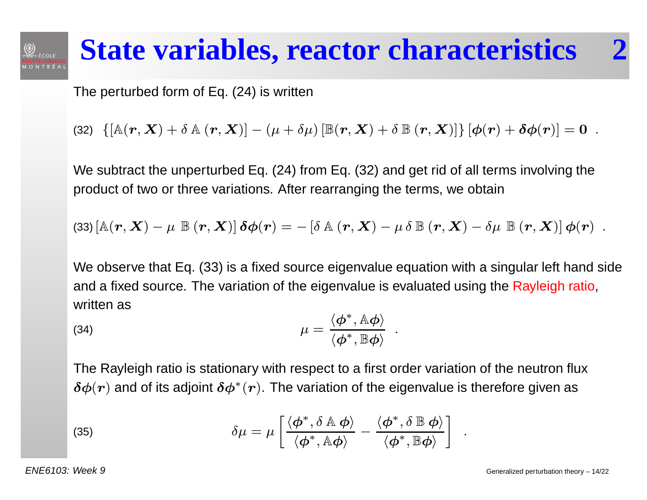# **State variables, reactor characteristics 2**

The perturbed form of Eq. (24) is written

(32)  $\left\{ \left[ \mathbb{A}(\boldsymbol{r}, \boldsymbol{X}) + \delta \mathbb{A}(\boldsymbol{r}, \boldsymbol{X}) \right] - (\mu + \delta \mu) \left[ \mathbb{B}(\boldsymbol{r}, \boldsymbol{X}) + \delta \mathbb{B}(\boldsymbol{r}, \boldsymbol{X}) \right] \right\} \left[ \boldsymbol{\phi}(\boldsymbol{r}) + \boldsymbol{\delta \phi}(\boldsymbol{r}) \right] = \boldsymbol{0}$  $\cdot$  .

We subtract the unperturbed Eq. (24) from Eq. (32) and get rid of all terms involving the product of two or three variations. After rearranging the terms, we obtain

(33) 
$$
\left[\mathbb{A}(\mathbf{r}, \mathbf{X}) - \mu \mathbb{B}(\mathbf{r}, \mathbf{X})\right] \delta \phi(\mathbf{r}) = -\left[\delta \mathbb{A}(\mathbf{r}, \mathbf{X}) - \mu \delta \mathbb{B}(\mathbf{r}, \mathbf{X}) - \delta \mu \mathbb{B}(\mathbf{r}, \mathbf{X})\right] \phi(\mathbf{r})
$$
.

We observe that Eq. (33) is <sup>a</sup> fixed source eigenvalue equation with <sup>a</sup> singular left hand side and <sup>a</sup> fixed source. The variation of the eigenvalue is evaluated using the Rayleigh ratio, written as

(34) 
$$
\mu = \frac{\langle \phi^*, \mathbb{A} \phi \rangle}{\langle \phi^*, \mathbb{B} \phi \rangle}.
$$

The Rayleigh ratio is stationary with respect to <sup>a</sup> first order variation of the neutron flux $\bm{\delta}\bm{\phi}(\bm{r})$  and of its adjoint  $\bm{\delta}\bm{\phi}^*(\bm{r}).$  The variation of the eigenvalue is therefore given as

(35) 
$$
\delta \mu = \mu \left[ \frac{\langle \phi^*, \delta \mathbb{A} \phi \rangle}{\langle \phi^*, \mathbb{A} \phi \rangle} - \frac{\langle \phi^*, \delta \mathbb{B} \phi \rangle}{\langle \phi^*, \mathbb{B} \phi \rangle} \right] .
$$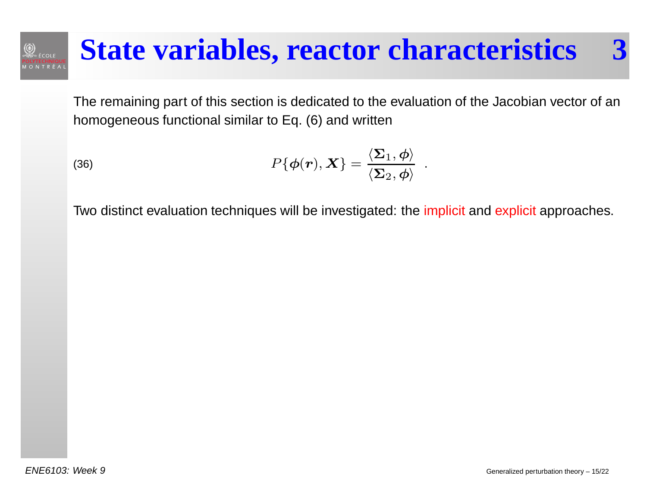### **State variables, reactor characteristics 3**

The remaining part of this section is dedicated to the evaluation of the Jacobian vector of anhomogeneous functional similar to Eq. (6) and written

(36) 
$$
P\{\boldsymbol{\phi}(\boldsymbol{r}), \boldsymbol{X}\} = \frac{\langle \boldsymbol{\Sigma}_1, \boldsymbol{\phi} \rangle}{\langle \boldsymbol{\Sigma}_2, \boldsymbol{\phi} \rangle}.
$$

Two distinct evaluation techniques will be investigated: the <mark>implicit</mark> and <mark>explicit</mark> approaches.

 $\textcircled{2}$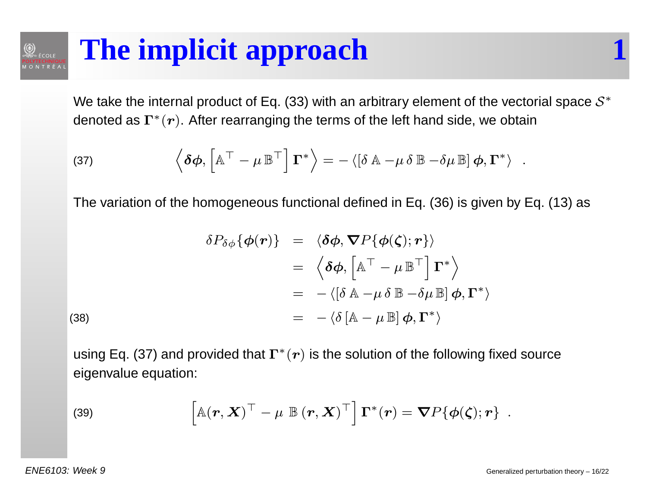# **The implicit approach 1**

We take the internal product of Eq. (33) with an arbitrary element of the vectorial space  $\mathcal{S}^*$ denoted as  $\Gamma^*$  $^{\ast}(\boldsymbol{r})$ . After rearranging the terms of the left hand side, we obtain

(37) 
$$
\left\langle \delta \phi, \left[ \mathbb{A}^\top - \mu \mathbb{B}^\top \right] \mathbf{\Gamma}^* \right\rangle = - \left\langle \left[ \delta \mathbb{A} - \mu \delta \mathbb{B} - \delta \mu \mathbb{B} \right] \boldsymbol{\phi}, \mathbf{\Gamma}^* \right\rangle .
$$

The variation of the homogeneous functional defined in Eq. (36) is given by Eq. (13) as

(38)  
\n
$$
\delta P_{\delta\phi} \{ \phi(\mathbf{r}) \} = \langle \delta\phi, \nabla P \{ \phi(\zeta); \mathbf{r} \} \rangle
$$
\n
$$
= \langle \delta\phi, \left[ \mathbb{A}^{\top} - \mu \mathbb{B}^{\top} \right] \mathbf{\Gamma}^{*} \rangle
$$
\n
$$
= - \langle [\delta \mathbb{A} - \mu \delta \mathbb{B} - \delta \mu \mathbb{B}] \phi, \mathbf{\Gamma}^{*} \rangle
$$
\n
$$
= - \langle \delta \left[ \mathbb{A} - \mu \mathbb{B} \right] \phi, \mathbf{\Gamma}^{*} \rangle
$$

 $\circledcirc$ 

。<br>◎ ÉCOLE

using Eq. (37) and provided that  $\Gamma^*$  $^{\ast}(\boldsymbol{r})$  is the solution of the following fixed source eigenvalue equation:

(39) 
$$
\left[ \mathbb{A}(\boldsymbol{r}, \boldsymbol{X})^{\top} - \mu \ \mathbb{B}(\boldsymbol{r}, \boldsymbol{X})^{\top} \right] \boldsymbol{\Gamma}^*(\boldsymbol{r}) = \boldsymbol{\nabla} P \{ \boldsymbol{\phi}(\boldsymbol{\zeta}); \boldsymbol{r} \}.
$$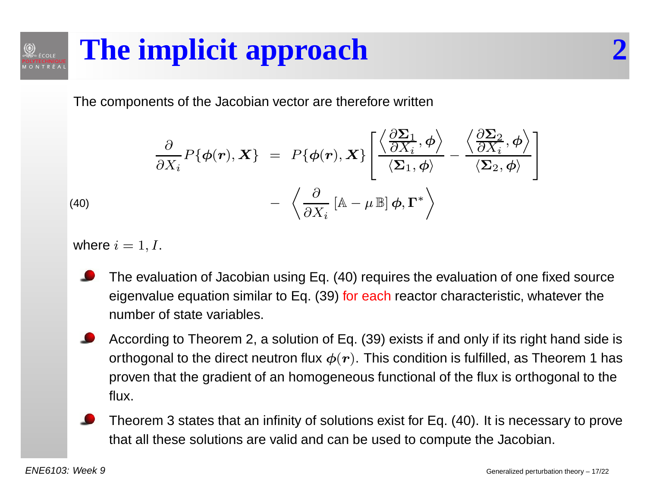### **The implicit approach 2** $\textcircled{2}$

The components of the Jacobian vector are therefore written

$$
\frac{\partial}{\partial X_i} P\{\boldsymbol{\phi}(\boldsymbol{r}), \boldsymbol{X}\} = P\{\boldsymbol{\phi}(\boldsymbol{r}), \boldsymbol{X}\} \left[ \frac{\left\langle \frac{\partial \boldsymbol{\Sigma}_1}{\partial X_i}, \boldsymbol{\phi} \right\rangle}{\left\langle \boldsymbol{\Sigma}_1, \boldsymbol{\phi} \right\rangle} - \frac{\left\langle \frac{\partial \boldsymbol{\Sigma}_2}{\partial X_i}, \boldsymbol{\phi} \right\rangle}{\left\langle \boldsymbol{\Sigma}_2, \boldsymbol{\phi} \right\rangle} \right]
$$
\n(40)\n
$$
- \left\langle \frac{\partial}{\partial X_i} \left[ \mathbb{A} - \mu \mathbb{B} \right] \boldsymbol{\phi}, \boldsymbol{\Gamma}^* \right\rangle
$$

where  $i = 1, I.$ 

- The evaluation of Jacobian using Eq. (40) requires the evaluation of one fixed sourceeigenvalue equation similar to Eq. (39) <mark>for each</mark> reactor characteristic, whatever the number of state variables.
- According to Theorem 2, <sup>a</sup> solution of Eq. (39) exists if and only if its right hand side isorthogonal to the direct neutron flux  $\boldsymbol{\phi}(\boldsymbol{r}).$  This condition is fulfilled, as Theorem 1 has proven that the gradient of an homogeneous functional of the flux is orthogonal to the flux.
- Theorem 3 states that an infinity of solutions exist for Eq. (40). It is necessary to provethat all these solutions are valid and can be used to compute the Jacobian.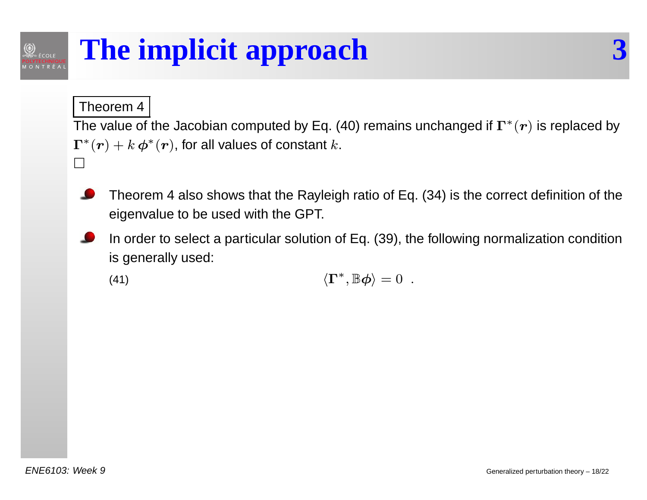# **The implicit approach 3**

Theorem 4

 $\textcircled{2}$ 

The value of the Jacobian computed by Eq. (40) remains unchanged if  $\Gamma^*$  $^{\ast}(\boldsymbol{r})$  is replaced by  $\mathbf{\Gamma}^*$  $\Box$  $^*(\boldsymbol{r}) + k\,\boldsymbol{\phi}^*$  $\epsilon^*(\bm{r})$ , for all values of constant  $k.$ 

- Theorem <sup>4</sup> also shows that the Rayleigh ratio of Eq. (34) is the correct definition of the eigenvalue to be used with the GPT.
- In order to select <sup>a</sup> particular solution of Eq. (39), the following normalization conditionis generally used:

(41) 
$$
\langle \Gamma^*, \mathbb{B} \phi \rangle = 0.
$$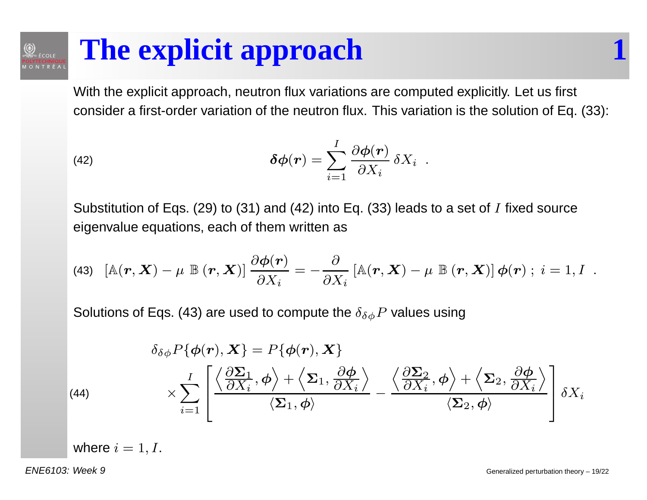# **The explicit approach 1**

With the explicit approach, neutron flux variations are computed explicitly. Let us first consider <sup>a</sup> first-order variation of the neutron flux. This variation is the solution of Eq. (33):

(42) 
$$
\delta \boldsymbol{\phi}(\boldsymbol{r}) = \sum_{i=1}^{I} \frac{\partial \boldsymbol{\phi}(\boldsymbol{r})}{\partial X_i} \, \delta X_i \; .
$$

Substitution of Eqs. (29) to (31) and (42) into Eq. (33) leads to a set of  $I$  fixed source eigenvalue equations, each of them written as

(43) 
$$
[\mathbb{A}(\boldsymbol{r},\boldsymbol{X})-\mu \ \mathbb{B}(\boldsymbol{r},\boldsymbol{X})]\frac{\partial \boldsymbol{\phi}(\boldsymbol{r})}{\partial X_i}=-\frac{\partial}{\partial X_i}[\mathbb{A}(\boldsymbol{r},\boldsymbol{X})-\mu \ \mathbb{B}(\boldsymbol{r},\boldsymbol{X})]\boldsymbol{\phi}(\boldsymbol{r})\ ;\ i=1,I\ .
$$

Solutions of Eqs. (43) are used to compute the  $\delta_{\delta\phi}P$  values using

(44)  
\n
$$
\delta_{\delta\phi} P\{\phi(\mathbf{r}), \mathbf{X}\} = P\{\phi(\mathbf{r}), \mathbf{X}\}
$$
\n
$$
\times \sum_{i=1}^{I} \left[ \frac{\left\langle \frac{\partial \Sigma_1}{\partial X_i}, \phi \right\rangle + \left\langle \Sigma_1, \frac{\partial \phi}{\partial X_i} \right\rangle}{\left\langle \Sigma_1, \phi \right\rangle} - \frac{\left\langle \frac{\partial \Sigma_2}{\partial X_i}, \phi \right\rangle + \left\langle \Sigma_2, \frac{\partial \phi}{\partial X_i} \right\rangle}{\left\langle \Sigma_2, \phi \right\rangle} \right] \delta X_i
$$

where  $i = 1, I.$ 

ENE6103: Week 9

 $\circledcirc$ 

**ÉCOLE**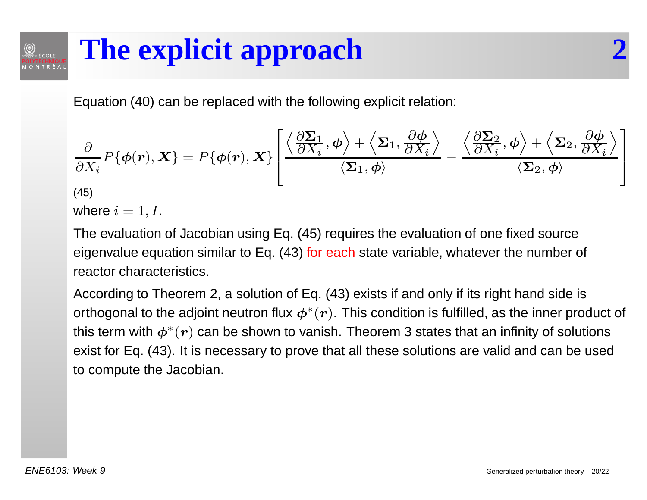### **The explicit approach 2**.<br>⊎ÉCOLE

Equation (40) can be replaced with the following explicit relation:

$$
\frac{\partial}{\partial X_i} P\{\phi(\mathbf{r}), \mathbf{X}\} = P\{\phi(\mathbf{r}), \mathbf{X}\} \left[ \frac{\left\langle \frac{\partial \Sigma_1}{\partial X_i}, \phi \right\rangle + \left\langle \Sigma_1, \frac{\partial \phi}{\partial X_i} \right\rangle}{\left\langle \Sigma_1, \phi \right\rangle} - \frac{\left\langle \frac{\partial \Sigma_2}{\partial X_i}, \phi \right\rangle + \left\langle \Sigma_2, \frac{\partial \phi}{\partial X_i} \right\rangle}{\left\langle \Sigma_2, \phi \right\rangle} \right]
$$
\n(45)

 $\circledcirc$ 

where  $i = 1, I.$ 

The evaluation of Jacobian using Eq. (45) requires the evaluation of one fixed sourceeigenvalue equation similar to Eq. (43) <mark>for each</mark> state variable, whatever the number of reactor characteristics.

According to Theorem 2, <sup>a</sup> solution of Eq. (43) exists if and only if its right hand side isorthogonal to the adjoint neutron flux  $\boldsymbol{\phi}^*$ this term with  $\bm{\phi^*(r)}$  can be shown to vanish. Theorem 3 states that an infinity of solutions  $^{\ast}(\boldsymbol{r})$ . This condition is fulfilled, as the inner product of exist for Eq. (43). It is necessary to prove that all these solutions are valid and can be usedto compute the Jacobian.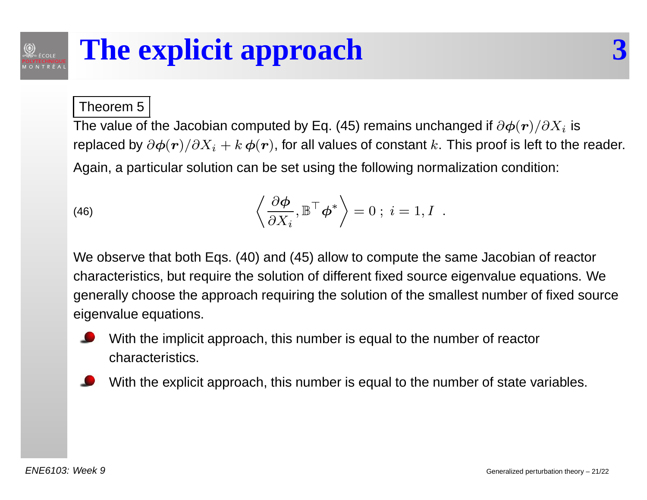### **The explicit approach 3** $\textcircled{2}$

#### Theorem 5

The value of the Jacobian computed by Eq. (45) remains unchanged if  $\partial \boldsymbol{\phi}(\boldsymbol{r})/\partial X_i$  is replaced by  $\partial\bm{\phi}(\bm{r})/\partial X_i+k\,\bm{\phi}(\bm{r})$ , for all values of constant  $k.$  This proof is left to the reader. Again, <sup>a</sup> particular solution can be set using the following normalization condition:

(46) 
$$
\left\langle \frac{\partial \phi}{\partial X_i}, \mathbb{B}^\top \phi^* \right\rangle = 0 \; ; \; i = 1, I \; .
$$

We observe that both Eqs. (40) and (45) allow to compute the same Jacobian of reactorcharacteristics, but require the solution of different fixed source eigenvalue equations. Wegenerally choose the approach requiring the solution of the smallest number of fixed source eigenvalue equations.



- With the implicit approach, this number is equal to the number of reactorcharacteristics.
- With the explicit approach, this number is equal to the number of state variables.